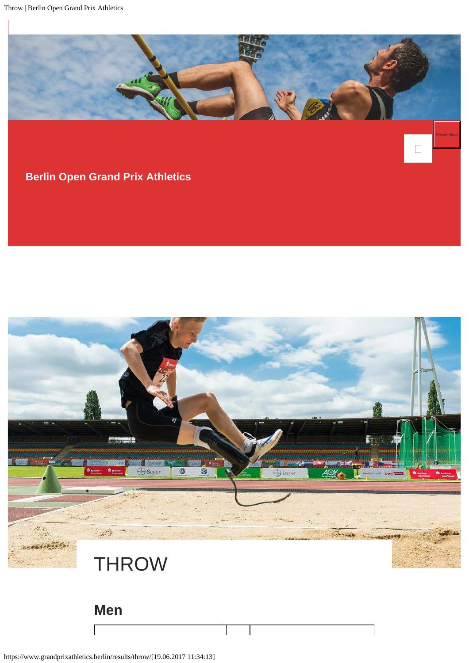

## **[Berlin Open Grand Prix Athletics](https://www.grandprixathletics.berlin/)**



https://www.grandprixathletics.berlin/results/throw/[19.06.2017 11:34:13]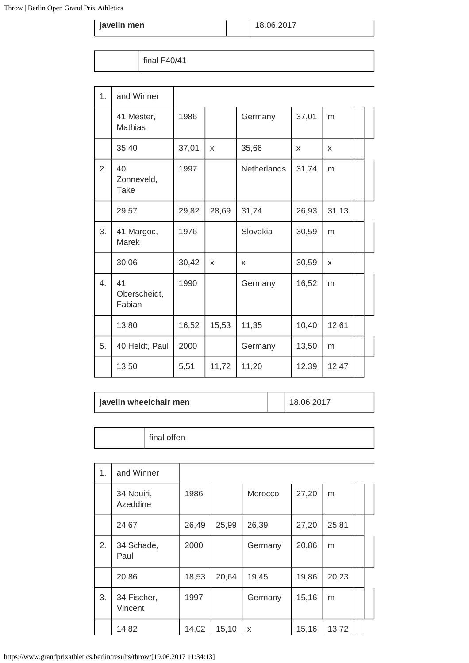**javelin men**  $\vert$  18.06.2017

final F40/41

| 1. | and Winner                      |       |       |             |       |       |  |
|----|---------------------------------|-------|-------|-------------|-------|-------|--|
|    | 41 Mester,<br><b>Mathias</b>    | 1986  |       | Germany     | 37,01 | m     |  |
|    | 35,40                           | 37,01 | X     | 35,66       | X     | X     |  |
| 2. | 40<br>Zonneveld,<br><b>Take</b> | 1997  |       | Netherlands | 31,74 | m     |  |
|    | 29,57                           | 29,82 | 28,69 | 31,74       | 26,93 | 31,13 |  |
| 3. | 41 Margoc,<br>Marek             | 1976  |       | Slovakia    | 30,59 | m     |  |
|    | 30,06                           | 30,42 | X     | X           | 30,59 | X     |  |
| 4. | 41<br>Oberscheidt,<br>Fabian    | 1990  |       | Germany     | 16,52 | m     |  |
|    | 13,80                           | 16,52 | 15,53 | 11,35       | 10,40 | 12,61 |  |
| 5. | 40 Heldt, Paul                  | 2000  |       | Germany     | 13,50 | m     |  |
|    | 13,50                           | 5,51  | 11,72 | 11,20       | 12,39 | 12,47 |  |

| javelin wheelchair men |  | 18.06.2017 |
|------------------------|--|------------|
|------------------------|--|------------|

final offen

| 1. | and Winner             |       |       |         |       |       |  |
|----|------------------------|-------|-------|---------|-------|-------|--|
|    | 34 Nouiri,<br>Azeddine | 1986  |       | Morocco | 27,20 | m     |  |
|    | 24,67                  | 26,49 | 25,99 | 26,39   | 27,20 | 25,81 |  |
| 2. | 34 Schade,<br>Paul     | 2000  |       | Germany | 20,86 | m     |  |
|    | 20,86                  | 18,53 | 20,64 | 19,45   | 19,86 | 20,23 |  |
| 3. | 34 Fischer,<br>Vincent | 1997  |       | Germany | 15,16 | m     |  |
|    | 14,82                  | 14,02 | 15,10 | X       | 15,16 | 13,72 |  |

https://www.grandprixathletics.berlin/results/throw/[19.06.2017 11:34:13]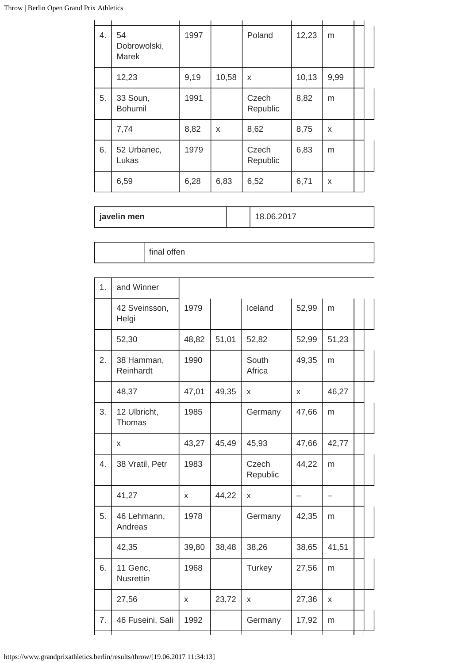| 4. | 54<br>Dobrowolski,<br>Marek | 1997 |       | Poland            | 12,23 | m    |  |
|----|-----------------------------|------|-------|-------------------|-------|------|--|
|    | 12,23                       | 9,19 | 10,58 | X                 | 10,13 | 9,99 |  |
| 5. | 33 Soun,<br><b>Bohumil</b>  | 1991 |       | Czech<br>Republic | 8,82  | m    |  |
|    | 7,74                        | 8,82 | X     | 8,62              | 8,75  | X    |  |
| 6. | 52 Urbanec,<br>Lukas        | 1979 |       | Czech<br>Republic | 6,83  | m    |  |
|    | 6,59                        | 6,28 | 6,83  | 6,52              | 6,71  | X    |  |

| javelin men |  | 8.06.2017 |
|-------------|--|-----------|
|-------------|--|-----------|

| 1. | and Winner                   |       |       |                   |       |       |  |
|----|------------------------------|-------|-------|-------------------|-------|-------|--|
|    | 42 Sveinsson,<br>Helgi       | 1979  |       | Iceland           | 52,99 | m     |  |
|    | 52,30                        | 48,82 | 51,01 | 52,82             | 52,99 | 51,23 |  |
| 2. | 38 Hamman,<br>Reinhardt      | 1990  |       | South<br>Africa   | 49,35 | m     |  |
|    | 48,37                        | 47,01 | 49,35 | X                 | X     | 46,27 |  |
| 3. | 12 Ulbricht,<br>Thomas       | 1985  |       | Germany           | 47,66 | m     |  |
|    | X                            | 43,27 | 45,49 | 45,93             | 47,66 | 42,77 |  |
| 4. | 38 Vratil, Petr              | 1983  |       | Czech<br>Republic | 44,22 | m     |  |
|    | 41,27                        | X     | 44,22 | X                 |       |       |  |
| 5. | 46 Lehmann,<br>Andreas       | 1978  |       | Germany           | 42,35 | m     |  |
|    | 42,35                        | 39,80 | 38,48 | 38,26             | 38,65 | 41,51 |  |
| 6. | 11 Genc,<br><b>Nusrettin</b> | 1968  |       | Turkey            | 27,56 | m     |  |
|    | 27,56                        | X     | 23,72 | x                 | 27,36 | X     |  |
| 7. | 46 Fuseini, Sali             | 1992  |       | Germany           | 17,92 | m     |  |
|    |                              |       |       |                   |       |       |  |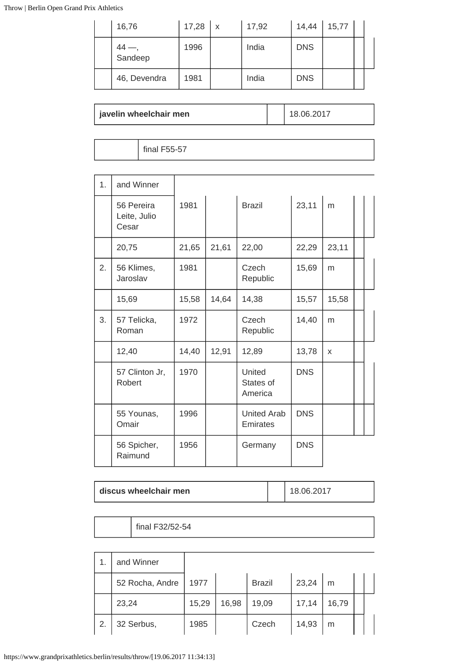| 16,76         | $17,28$ $\times$ | 17,92 | 14,44      | 15,77 |  |
|---------------|------------------|-------|------------|-------|--|
| 44<br>Sandeep | 1996             | India | <b>DNS</b> |       |  |
| 46, Devendra  | 1981             | India | <b>DNS</b> |       |  |

### **javelin wheelchair men**  $\left| \begin{array}{ccc} \end{array} \right|$  18.06.2017

final F55-57

| 1 <sub>1</sub> | and Winner                          |       |       |                                |            |       |  |
|----------------|-------------------------------------|-------|-------|--------------------------------|------------|-------|--|
|                | 56 Pereira<br>Leite, Julio<br>Cesar | 1981  |       | <b>Brazil</b>                  | 23,11      | m     |  |
|                | 20,75                               | 21,65 | 21,61 | 22,00                          | 22,29      | 23,11 |  |
| 2.             | 56 Klimes,<br>Jaroslav              | 1981  |       | Czech<br>Republic              | 15,69      | m     |  |
|                | 15,69                               | 15,58 | 14,64 | 14,38                          | 15,57      | 15,58 |  |
| 3.             | 57 Telicka,<br>Roman                | 1972  |       | Czech<br>Republic              | 14,40      | m     |  |
|                | 12,40                               | 14,40 | 12,91 | 12,89                          | 13,78      | X     |  |
|                | 57 Clinton Jr,<br>Robert            | 1970  |       | United<br>States of<br>America | <b>DNS</b> |       |  |
|                | 55 Younas,<br>Omair                 | 1996  |       | <b>United Arab</b><br>Emirates | <b>DNS</b> |       |  |
|                | 56 Spicher,<br>Raimund              | 1956  |       | Germany                        | <b>DNS</b> |       |  |

| discus wheelchair men |  | 18.06.2017 |
|-----------------------|--|------------|
|-----------------------|--|------------|

final F32/52-54

| 1. | and Winner      |       |       |               |       |       |  |
|----|-----------------|-------|-------|---------------|-------|-------|--|
|    | 52 Rocha, Andre | 1977  |       | <b>Brazil</b> | 23,24 | m     |  |
|    | 23,24           | 15,29 | 16,98 | 19,09         | 17,14 | 16,79 |  |
| 2. | 32 Serbus,      | 1985  |       | Czech         | 14,93 | m     |  |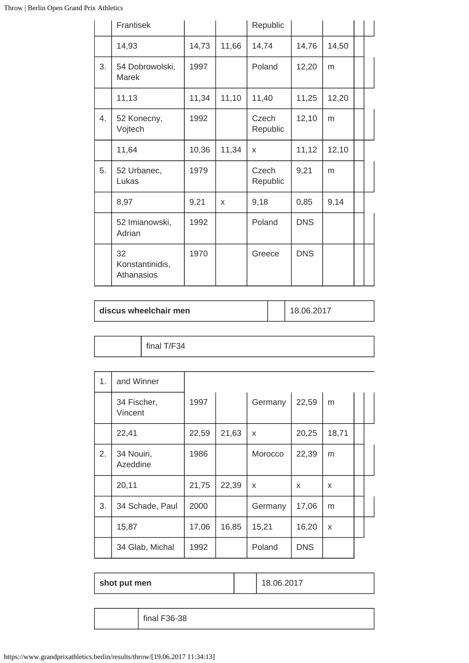|    | Frantisek                           |       |       | Republic          |            |       |  |
|----|-------------------------------------|-------|-------|-------------------|------------|-------|--|
|    | 14,93                               | 14,73 | 11,66 | 14,74             | 14,76      | 14,50 |  |
| 3. | 54 Dobrowolski,<br><b>Marek</b>     | 1997  |       | Poland            | 12,20      | m     |  |
|    | 11,13                               | 11,34 | 11,10 | 11,40             | 11,25      | 12,20 |  |
| 4. | 52 Konecny,<br>Vojtech              | 1992  |       | Czech<br>Republic | 12,10      | m     |  |
|    | 11,64                               | 10,36 | 11,34 | X                 | 11,12      | 12,10 |  |
| 5. | 52 Urbanec,<br>Lukas                | 1979  |       | Czech<br>Republic | 9,21       | m     |  |
|    | 8,97                                | 9,21  | X     | 9,18              | 0,85       | 9,14  |  |
|    | 52 Imianowski,<br>Adrian            | 1992  |       | Poland            | <b>DNS</b> |       |  |
|    | 32<br>Konstantinidis,<br>Athanasios | 1970  |       | Greece            | <b>DNS</b> |       |  |

| discus wheelchair men | 18.06.2017 |
|-----------------------|------------|
|                       |            |

final T/F34

| 1. | and Winner             |       |       |              |            |       |  |
|----|------------------------|-------|-------|--------------|------------|-------|--|
|    | 34 Fischer,<br>Vincent | 1997  |       | Germany      | 22,59      | m     |  |
|    | 22,41                  | 22,59 | 21,63 | X            | 20,25      | 18,71 |  |
| 2. | 34 Nouiri,<br>Azeddine | 1986  |       | Morocco      | 22,39      | m     |  |
|    | 20,11                  | 21,75 | 22,39 | $\mathsf{x}$ | X          | X     |  |
| 3. | 34 Schade, Paul        | 2000  |       | Germany      | 17,06      | m     |  |
|    | 15,87                  | 17,06 | 16,85 | 15,21        | 16,20      | X     |  |
|    | 34 Glab, Michal        | 1992  |       | Poland       | <b>DNS</b> |       |  |

| shot put men | 18.06.2017 |  |
|--------------|------------|--|
|--------------|------------|--|

final F36-38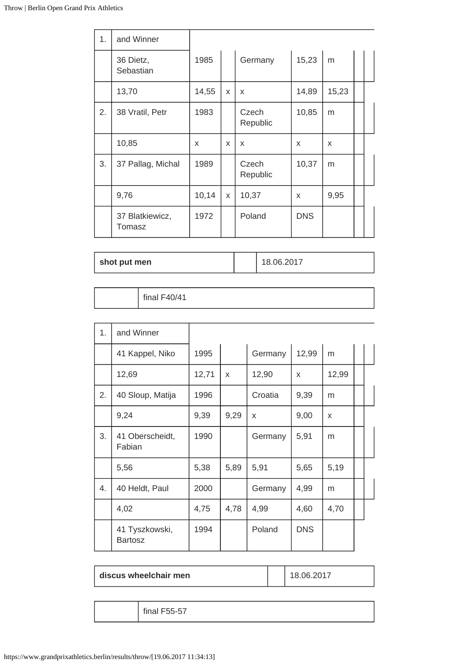| 1. | and Winner                |       |   |                   |            |       |  |
|----|---------------------------|-------|---|-------------------|------------|-------|--|
|    | 36 Dietz,<br>Sebastian    | 1985  |   | Germany           | 15,23      | m     |  |
|    | 13,70                     | 14,55 | X | X                 | 14,89      | 15,23 |  |
| 2. | 38 Vratil, Petr           | 1983  |   | Czech<br>Republic | 10,85      | m     |  |
|    | 10,85                     | X     | X | X                 | X          | X     |  |
| 3. | 37 Pallag, Michal         | 1989  |   | Czech<br>Republic | 10,37      | m     |  |
|    | 9,76                      | 10,14 | X | 10,37             | X          | 9,95  |  |
|    | 37 Blatkiewicz,<br>Tomasz | 1972  |   | Poland            | <b>DNS</b> |       |  |

| shot put men |  |  |
|--------------|--|--|

**shot put men** 18.06.2017

final F40/41

| 1. | and Winner                       |       |      |         |            |       |  |
|----|----------------------------------|-------|------|---------|------------|-------|--|
|    | 41 Kappel, Niko                  | 1995  |      | Germany | 12,99      | m     |  |
|    | 12,69                            | 12,71 | X    | 12,90   | X          | 12,99 |  |
| 2. | 40 Sloup, Matija                 | 1996  |      | Croatia | 9,39       | m     |  |
|    | 9,24                             | 9,39  | 9,29 | X       | 9,00       | X     |  |
| 3. | 41 Oberscheidt,<br>Fabian        | 1990  |      | Germany | 5,91       | m     |  |
|    | 5,56                             | 5,38  | 5,89 | 5,91    | 5,65       | 5,19  |  |
| 4. | 40 Heldt, Paul                   | 2000  |      | Germany | 4,99       | m     |  |
|    | 4,02                             | 4,75  | 4,78 | 4,99    | 4,60       | 4,70  |  |
|    | 41 Tyszkowski,<br><b>Bartosz</b> | 1994  |      | Poland  | <b>DNS</b> |       |  |

| discus wheelchair men |
|-----------------------|
|-----------------------|

**discus wheelchair men** 18.06.2017

final F55-57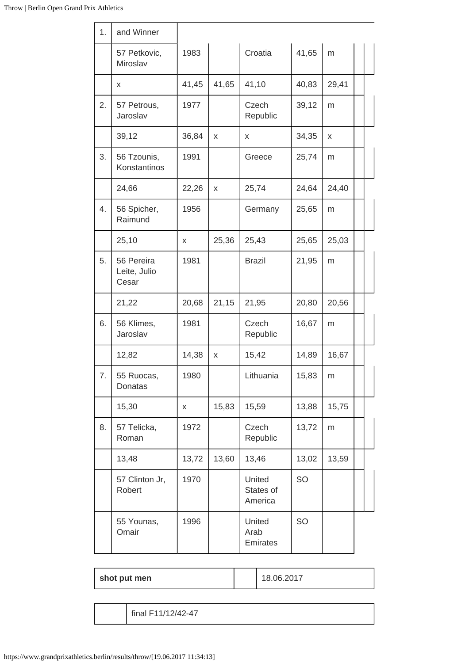| 1. | and Winner                          |       |       |                                |       |           |  |
|----|-------------------------------------|-------|-------|--------------------------------|-------|-----------|--|
|    | 57 Petkovic,<br>Miroslav            | 1983  |       | Croatia                        | 41,65 | m         |  |
|    | X                                   | 41,45 | 41,65 | 41,10                          | 40,83 | 29,41     |  |
| 2. | 57 Petrous,<br>Jaroslav             | 1977  |       | Czech<br>Republic              | 39,12 | m         |  |
|    | 39,12                               | 36,84 | X     | X                              | 34,35 | X         |  |
| 3. | 56 Tzounis,<br>Konstantinos         | 1991  |       | Greece                         | 25,74 | m         |  |
|    | 24,66                               | 22,26 | x     | 25,74                          | 24,64 | 24,40     |  |
| 4. | 56 Spicher,<br>Raimund              | 1956  |       | Germany                        | 25,65 | m         |  |
|    | 25,10                               | X     | 25,36 | 25,43                          | 25,65 | 25,03     |  |
| 5. | 56 Pereira<br>Leite, Julio<br>Cesar | 1981  |       | <b>Brazil</b>                  | 21,95 | m         |  |
|    | 21,22                               | 20,68 | 21,15 | 21,95                          | 20,80 | 20,56     |  |
| 6. | 56 Klimes,<br>Jaroslav              | 1981  |       | Czech<br>Republic              | 16,67 | m         |  |
|    | 12,82                               | 14,38 | x     | 15,42                          | 14,89 | 16,67     |  |
| 7. | 55 Ruocas,<br>Donatas               | 1980  |       | Lithuania                      | 15,83 | ${\sf m}$ |  |
|    | 15,30                               | X     | 15,83 | 15,59                          | 13,88 | 15,75     |  |
| 8. | 57 Telicka,<br>Roman                | 1972  |       | Czech<br>Republic              | 13,72 | m         |  |
|    | 13,48                               | 13,72 | 13,60 | 13,46                          | 13,02 | 13,59     |  |
|    | 57 Clinton Jr,<br>Robert            | 1970  |       | United<br>States of<br>America | SO    |           |  |
|    | 55 Younas,<br>Omair                 | 1996  |       | United<br>Arab<br>Emirates     | SO    |           |  |

| shot put men |  |
|--------------|--|
|--------------|--|

**shot put men** 18.06.2017

final F11/12/42-47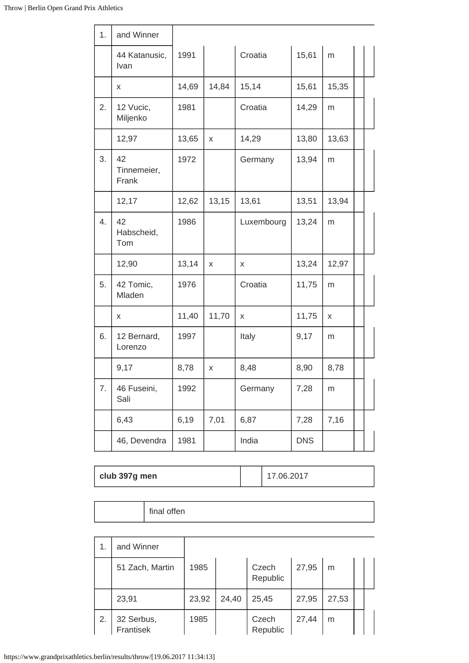| 1. | and Winner                 |       |       |            |            |       |  |
|----|----------------------------|-------|-------|------------|------------|-------|--|
|    | 44 Katanusic,<br>Ivan      | 1991  |       | Croatia    | 15,61      | m     |  |
|    | X                          | 14,69 | 14,84 | 15,14      | 15,61      | 15,35 |  |
| 2. | 12 Vucic,<br>Miljenko      | 1981  |       | Croatia    | 14,29      | m     |  |
|    | 12,97                      | 13,65 | X     | 14,29      | 13,80      | 13,63 |  |
| 3. | 42<br>Tinnemeier,<br>Frank | 1972  |       | Germany    | 13,94      | m     |  |
|    | 12,17                      | 12,62 | 13,15 | 13,61      | 13,51      | 13,94 |  |
| 4. | 42<br>Habscheid,<br>Tom    | 1986  |       | Luxembourg | 13,24      | m     |  |
|    | 12,90                      | 13,14 | X     | X          | 13,24      | 12,97 |  |
| 5. | 42 Tomic,<br>Mladen        | 1976  |       | Croatia    | 11,75      | m     |  |
|    | X                          | 11,40 | 11,70 | X          | 11,75      | X     |  |
| 6. | 12 Bernard,<br>Lorenzo     | 1997  |       | Italy      | 9,17       | m     |  |
|    | 9,17                       | 8,78  | X     | 8,48       | 8,90       | 8,78  |  |
| 7. | 46 Fuseini,<br>Sali        | 1992  |       | Germany    | 7,28       | m     |  |
|    | 6,43                       | 6,19  | 7,01  | 6,87       | 7,28       | 7,16  |  |
|    | 46, Devendra               | 1981  |       | India      | <b>DNS</b> |       |  |

| club 397g men |  | 7.06.2017 |
|---------------|--|-----------|
|---------------|--|-----------|

|  | final offen |
|--|-------------|
|--|-------------|

|    | and Winner              |       |       |                   |       |       |  |
|----|-------------------------|-------|-------|-------------------|-------|-------|--|
|    | 51 Zach, Martin         | 1985  |       | Czech<br>Republic | 27,95 | m     |  |
|    | 23,91                   | 23,92 | 24,40 | 25,45             | 27,95 | 27,53 |  |
| 2. | 32 Serbus,<br>Frantisek | 1985  |       | Czech<br>Republic | 27,44 | m     |  |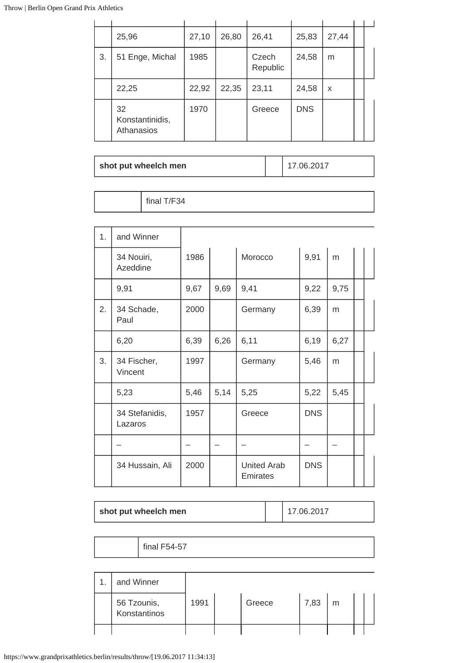|    | 25,96                               | 27,10 | 26,80 | 26,41             | 25,83      | 27,44 |  |
|----|-------------------------------------|-------|-------|-------------------|------------|-------|--|
| 3. | 51 Enge, Michal                     | 1985  |       | Czech<br>Republic | 24,58      | m     |  |
|    | 22,25                               | 22,92 | 22,35 | 23,11             | 24,58      | X     |  |
|    | 32<br>Konstantinidis,<br>Athanasios | 1970  |       | Greece            | <b>DNS</b> |       |  |

| shot put wheelch men |  | 117.06.2017 |
|----------------------|--|-------------|
|----------------------|--|-------------|

| 1. | and Winner                |      |      |                                |            |      |  |
|----|---------------------------|------|------|--------------------------------|------------|------|--|
|    | 34 Nouiri,<br>Azeddine    | 1986 |      | Morocco                        | 9,91       | m    |  |
|    | 9,91                      | 9,67 | 9,69 | 9,41                           | 9,22       | 9,75 |  |
| 2. | 34 Schade,<br>Paul        | 2000 |      | Germany                        | 6,39       | m    |  |
|    | 6,20                      | 6,39 | 6,26 | 6,11                           | 6,19       | 6,27 |  |
| 3. | 34 Fischer,<br>Vincent    | 1997 |      | Germany                        | 5,46       | m    |  |
|    | 5,23                      | 5,46 | 5,14 | 5,25                           | 5,22       | 5,45 |  |
|    | 34 Stefanidis,<br>Lazaros | 1957 |      | Greece                         | <b>DNS</b> |      |  |
|    |                           |      |      |                                |            |      |  |
|    | 34 Hussain, Ali           | 2000 |      | <b>United Arab</b><br>Emirates | <b>DNS</b> |      |  |

| shot put wheelch men | 17.06.2017 |
|----------------------|------------|
|                      |            |

final F54-57

| and Winner                  |      |        |      |   |  |
|-----------------------------|------|--------|------|---|--|
| 56 Tzounis,<br>Konstantinos | 1991 | Greece | 7,83 | m |  |
|                             |      |        |      |   |  |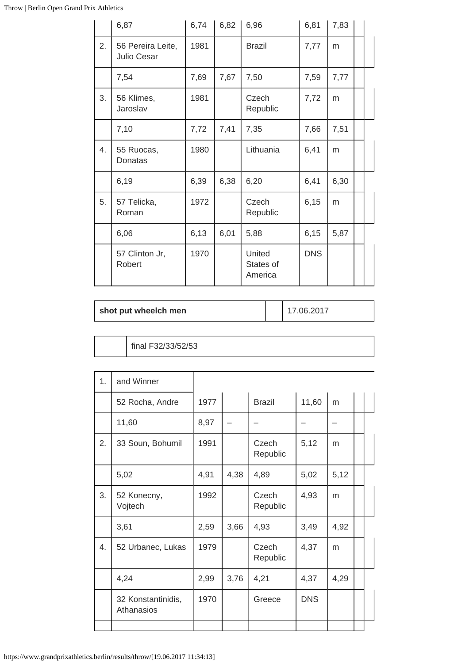|    | 6,87                                    | 6,74 | 6,82 | 6,96                           | 6,81       | 7,83 |  |
|----|-----------------------------------------|------|------|--------------------------------|------------|------|--|
| 2. | 56 Pereira Leite,<br><b>Julio Cesar</b> | 1981 |      | <b>Brazil</b>                  | 7,77       | m    |  |
|    | 7,54                                    | 7,69 | 7,67 | 7,50                           | 7,59       | 7,77 |  |
| 3. | 56 Klimes,<br>Jaroslav                  | 1981 |      | Czech<br>Republic              | 7,72       | m    |  |
|    | 7,10                                    | 7,72 | 7,41 | 7,35                           | 7,66       | 7,51 |  |
| 4. | 55 Ruocas,<br>Donatas                   | 1980 |      | Lithuania                      | 6,41       | m    |  |
|    | 6,19                                    | 6,39 | 6,38 | 6,20                           | 6,41       | 6,30 |  |
| 5. | 57 Telicka,<br>Roman                    | 1972 |      | Czech<br>Republic              | 6,15       | m    |  |
|    | 6,06                                    | 6,13 | 6,01 | 5,88                           | 6,15       | 5,87 |  |
|    | 57 Clinton Jr,<br>Robert                | 1970 |      | United<br>States of<br>America | <b>DNS</b> |      |  |

| shot put wheelch men |  | 17.06.2017 |
|----------------------|--|------------|
|----------------------|--|------------|

final F32/33/52/53

| 1. | and Winner                       |      |      |                   |            |      |  |
|----|----------------------------------|------|------|-------------------|------------|------|--|
|    | 52 Rocha, Andre                  | 1977 |      | <b>Brazil</b>     | 11,60      | m    |  |
|    | 11,60                            | 8,97 |      |                   |            |      |  |
| 2. | 33 Soun, Bohumil                 | 1991 |      | Czech<br>Republic | 5,12       | m    |  |
|    | 5,02                             | 4,91 | 4,38 | 4,89              | 5,02       | 5,12 |  |
| 3. | 52 Konecny,<br>Vojtech           | 1992 |      | Czech<br>Republic | 4,93       | m    |  |
|    | 3,61                             | 2,59 | 3,66 | 4,93              | 3,49       | 4,92 |  |
| 4. | 52 Urbanec, Lukas                | 1979 |      | Czech<br>Republic | 4,37       | m    |  |
|    | 4,24                             | 2,99 | 3,76 | 4,21              | 4,37       | 4,29 |  |
|    | 32 Konstantinidis,<br>Athanasios | 1970 |      | Greece            | <b>DNS</b> |      |  |
|    |                                  |      |      |                   |            |      |  |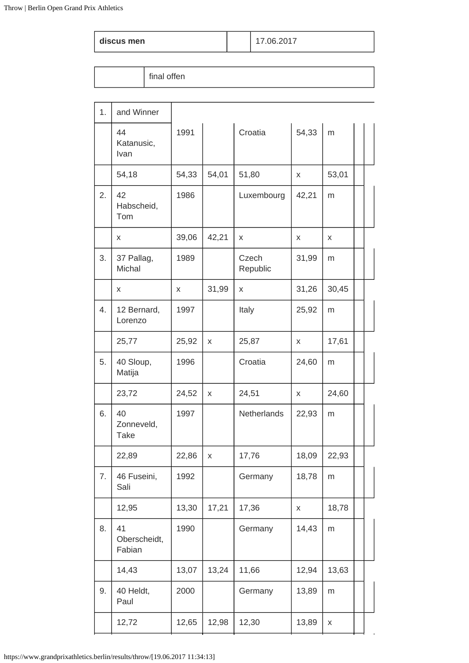|  | discus men |
|--|------------|
|  |            |

### **discus men** 17.06.2017

| 1. | and Winner                      |       |       |                   |       |       |  |
|----|---------------------------------|-------|-------|-------------------|-------|-------|--|
|    | 44<br>Katanusic,<br>Ivan        | 1991  |       | Croatia           | 54,33 | m     |  |
|    | 54,18                           | 54,33 | 54,01 | 51,80             | X     | 53,01 |  |
| 2. | 42<br>Habscheid,<br>Tom         | 1986  |       | Luxembourg        | 42,21 | m     |  |
|    | X                               | 39,06 | 42,21 | X                 | x     | x     |  |
| 3. | 37 Pallag,<br>Michal            | 1989  |       | Czech<br>Republic | 31,99 | m     |  |
|    | X                               | X     | 31,99 | X                 | 31,26 | 30,45 |  |
| 4. | 12 Bernard,<br>Lorenzo          | 1997  |       | Italy             | 25,92 | m     |  |
|    | 25,77                           | 25,92 | X     | 25,87             | X     | 17,61 |  |
| 5. | 40 Sloup,<br>Matija             | 1996  |       | Croatia           | 24,60 | m     |  |
|    | 23,72                           | 24,52 | X     | 24,51             | X     | 24,60 |  |
| 6. | 40<br>Zonneveld,<br><b>Take</b> | 1997  |       | Netherlands       | 22,93 | m     |  |
|    | 22,89                           | 22,86 | X     | 17,76             | 18,09 | 22,93 |  |
| 7. | 46 Fuseini,<br>Sali             | 1992  |       | Germany           | 18,78 | m     |  |
|    | 12,95                           | 13,30 | 17,21 | 17,36             | X     | 18,78 |  |
| 8. | 41<br>Oberscheidt,<br>Fabian    | 1990  |       | Germany           | 14,43 | m     |  |
|    | 14,43                           | 13,07 | 13,24 | 11,66             | 12,94 | 13,63 |  |
| 9. | 40 Heldt,<br>Paul               | 2000  |       | Germany           | 13,89 | m     |  |
|    | 12,72                           | 12,65 | 12,98 | 12,30             | 13,89 | X     |  |
|    |                                 |       |       |                   |       |       |  |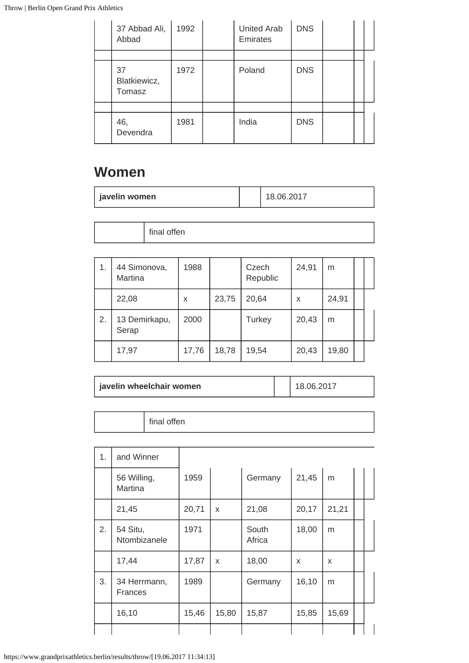| 37 Abbad Ali,<br>Abbad       | 1992 | <b>United Arab</b><br><b>Emirates</b> | <b>DNS</b> |  |  |
|------------------------------|------|---------------------------------------|------------|--|--|
|                              |      |                                       |            |  |  |
| 37<br>Blatkiewicz,<br>Tomasz | 1972 | Poland                                | <b>DNS</b> |  |  |
|                              |      |                                       |            |  |  |
| 46,<br>Devendra              | 1981 | India                                 | <b>DNS</b> |  |  |

# **Women**

|  | javelin women |  |  |
|--|---------------|--|--|
|--|---------------|--|--|

|  | $\cdots$<br>----<br>$\sim$<br>eп<br>$\blacksquare$<br>◡<br>. |
|--|--------------------------------------------------------------|
|--|--------------------------------------------------------------|

| 1. | 44 Simonova,<br>Martina | 1988  |       | Czech<br>Republic | 24,91 | m     |  |
|----|-------------------------|-------|-------|-------------------|-------|-------|--|
|    | 22,08                   | X     | 23,75 | 20,64             | X     | 24,91 |  |
| 2. | 13 Demirkapu,<br>Serap  | 2000  |       | <b>Turkey</b>     | 20,43 | m     |  |
|    | 17,97                   | 17,76 | 18,78 | 19,54             | 20,43 | 19,80 |  |

| $C_{\text{max}}$<br>en<br>111101<br>.<br>- |
|--------------------------------------------|

| 1. | and Winner               |       |       |                 |       |       |  |
|----|--------------------------|-------|-------|-----------------|-------|-------|--|
|    | 56 Willing,<br>Martina   | 1959  |       | Germany         | 21,45 | m     |  |
|    | 21,45                    | 20,71 | X     | 21,08           | 20,17 | 21,21 |  |
| 2. | 54 Situ,<br>Ntombizanele | 1971  |       | South<br>Africa | 18,00 | m     |  |
|    | 17,44                    | 17,87 | X     | 18,00           | X     | X     |  |
| 3. | 34 Herrmann,<br>Frances  | 1989  |       | Germany         | 16,10 | m     |  |
|    | 16,10                    | 15,46 | 15,80 | 15,87           | 15,85 | 15,69 |  |
|    |                          |       |       |                 |       |       |  |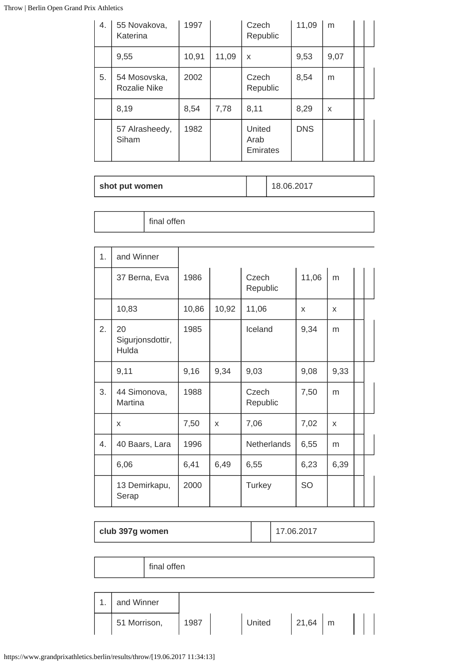| 4. | 55 Novakova,<br>Katerina            | 1997  |       | Czech<br>Republic          | 11,09      | m    |  |
|----|-------------------------------------|-------|-------|----------------------------|------------|------|--|
|    | 9,55                                | 10,91 | 11,09 | X                          | 9,53       | 9,07 |  |
| 5. | 54 Mosovska,<br><b>Rozalie Nike</b> | 2002  |       | Czech<br>Republic          | 8,54       | m    |  |
|    | 8,19                                | 8,54  | 7,78  | 8,11                       | 8,29       | X    |  |
|    | 57 Alrasheedy,<br>Siham             | 1982  |       | United<br>Arab<br>Emirates | <b>DNS</b> |      |  |

| shot put women |  | 18.06.2017 |
|----------------|--|------------|
|----------------|--|------------|

| 1. | and Winner                      |       |       |                   |           |      |  |
|----|---------------------------------|-------|-------|-------------------|-----------|------|--|
|    | 37 Berna, Eva                   | 1986  |       | Czech<br>Republic | 11,06     | m    |  |
|    | 10,83                           | 10,86 | 10,92 | 11,06             | X         | X    |  |
| 2. | 20<br>Sigurjonsdottir,<br>Hulda | 1985  |       | Iceland           | 9,34      | m    |  |
|    | 9,11                            | 9,16  | 9,34  | 9,03              | 9,08      | 9,33 |  |
| 3. | 44 Simonova,<br>Martina         | 1988  |       | Czech<br>Republic | 7,50      | m    |  |
|    | X                               | 7,50  | X     | 7,06              | 7,02      | X    |  |
| 4. | 40 Baars, Lara                  | 1996  |       | Netherlands       | 6,55      | m    |  |
|    | 6,06                            | 6,41  | 6,49  | 6,55              | 6,23      | 6,39 |  |
|    | 13 Demirkapu,<br>Serap          | 2000  |       | Turkey            | <b>SO</b> |      |  |

| club 397g women |              |  |      |  |        | 17.06.2017 |  |  |  |
|-----------------|--------------|--|------|--|--------|------------|--|--|--|
|                 |              |  |      |  |        |            |  |  |  |
| final offen     |              |  |      |  |        |            |  |  |  |
|                 |              |  |      |  |        |            |  |  |  |
| 1.              | and Winner   |  |      |  |        |            |  |  |  |
|                 | 51 Morrison, |  | 1987 |  | United | $21,64$ m  |  |  |  |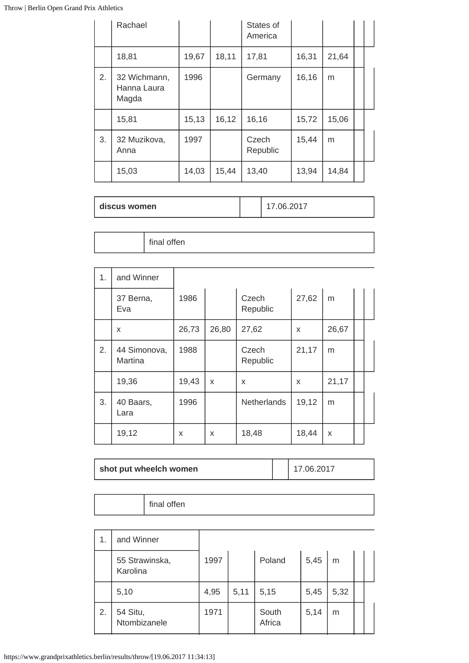|    | Rachael                              |        |       | States of<br>America |       |       |  |
|----|--------------------------------------|--------|-------|----------------------|-------|-------|--|
|    | 18,81                                | 19,67  | 18,11 | 17,81                | 16,31 | 21,64 |  |
| 2. | 32 Wichmann,<br>Hanna Laura<br>Magda | 1996   |       | Germany              | 16,16 | m     |  |
|    | 15,81                                | 15, 13 | 16,12 | 16,16                | 15,72 | 15,06 |  |
| 3. | 32 Muzikova,<br>Anna                 | 1997   |       | Czech<br>Republic    | 15,44 | m     |  |
|    | 15,03                                | 14,03  | 15,44 | 13,40                | 13,94 | 14,84 |  |

| discus women | 17.06.2017 |
|--------------|------------|
|--------------|------------|

final offen

| 1. | and Winner              |       |       |                    |       |       |  |
|----|-------------------------|-------|-------|--------------------|-------|-------|--|
|    | 37 Berna,<br>Eva        | 1986  |       | Czech<br>Republic  | 27,62 | m     |  |
|    | X                       | 26,73 | 26,80 | 27,62              | X     | 26,67 |  |
| 2. | 44 Simonova,<br>Martina | 1988  |       | Czech<br>Republic  | 21,17 | m     |  |
|    | 19,36                   | 19,43 | X     | X                  | X     | 21,17 |  |
| 3. | 40 Baars,<br>Lara       | 1996  |       | <b>Netherlands</b> | 19,12 | m     |  |
|    | 19,12                   | X     | X     | 18,48              | 18,44 | X     |  |

| shot put wheelch women |  | 17.06.2017 |
|------------------------|--|------------|
|------------------------|--|------------|

| 1. | and Winner                 |      |      |                 |      |      |  |
|----|----------------------------|------|------|-----------------|------|------|--|
|    | 55 Strawinska,<br>Karolina | 1997 |      | Poland          | 5,45 | m    |  |
|    | 5,10                       | 4,95 | 5,11 | 5,15            | 5,45 | 5,32 |  |
| 2. | 54 Situ,<br>Ntombizanele   | 1971 |      | South<br>Africa | 5,14 | m    |  |